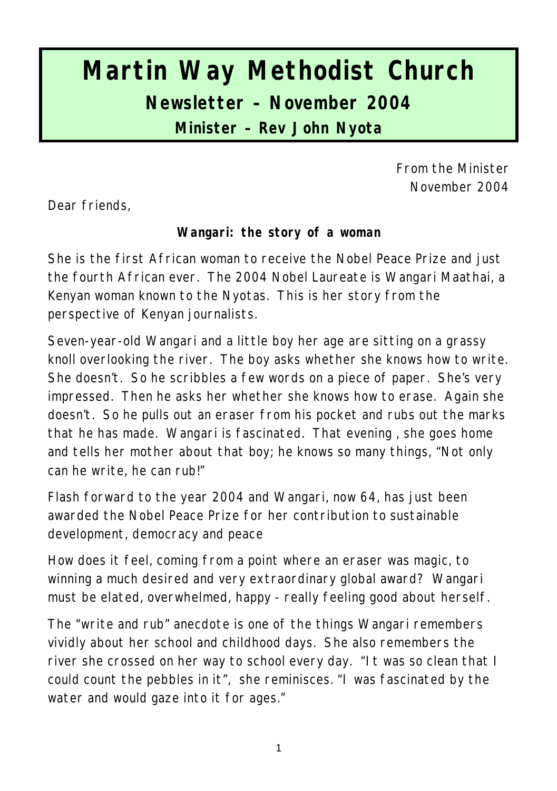# **Martin Way Methodist Church Newsletter – November 2004 Minister – Rev John Nyota**

From the Minister November 2004

Dear friends,

**Wangari: the story of a woman**

She is the first African woman to receive the Nobel Peace Prize and just the fourth African ever. The 2004 Nobel Laureate is Wangari Maathai, a Kenyan woman known to the Nyotas. This is her story from the perspective of Kenyan journalists.

Seven-year-old Wangari and a little boy her age are sitting on a grassy knoll overlooking the river. The boy asks whether she knows how to write. She doesn't. So he scribbles a few words on a piece of paper. She's very impressed. Then he asks her whether she knows how to erase. Again she doesn't. So he pulls out an eraser from his pocket and rubs out the marks that he has made. Wangari is fascinated. That evening , she goes home and tells her mother about that boy; he knows so many things, "Not only can he write, he can rub!"

Flash forward to the year 2004 and Wangari, now 64, has just been awarded the Nobel Peace Prize for her contribution to sustainable development, democracy and peace

How does it feel, coming from a point where an eraser was magic, to winning a much desired and very extraordinary global award? Wangari must be elated, overwhelmed, happy - really feeling good about herself.

The "write and rub" anecdote is one of the things Wangari remembers vividly about her school and childhood days. She also remembers the river she crossed on her way to school every day. "It was so clean that I could count the pebbles in it", she reminisces. "I was fascinated by the water and would gaze into it for ages."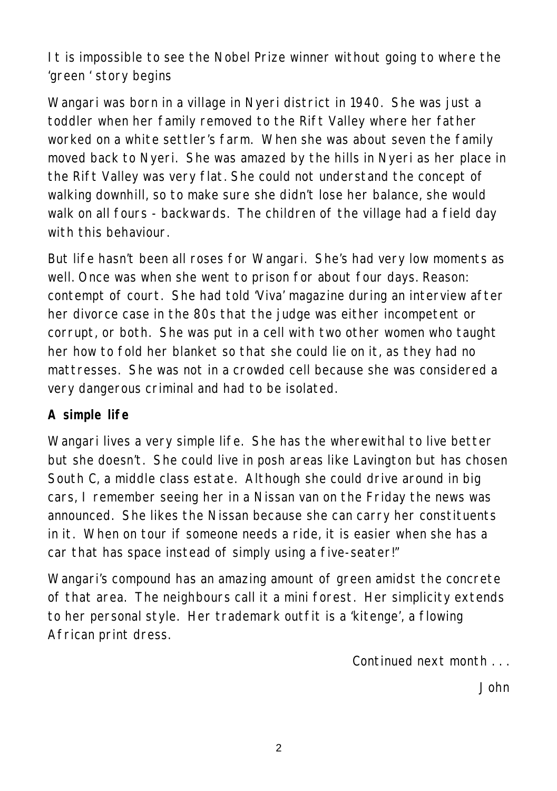It is impossible to see the Nobel Prize winner without going to where the 'green ' story begins

Wangari was born in a village in Nyeri district in 1940. She was just a toddler when her family removed to the Rift Valley where her father worked on a white settler's farm. When she was about seven the family moved back to Nyeri. She was amazed by the hills in Nyeri as her place in the Rift Valley was very flat. She could not understand the concept of walking downhill, so to make sure she didn't lose her balance, she would walk on all fours - backwards. The children of the village had a field day with this behaviour

But life hasn't been all roses for Wangari. She's had very low moments as well. Once was when she went to prison for about four days. Reason: contempt of court. She had told 'Viva' magazine during an interview after her divorce case in the 80s that the judge was either incompetent or corrupt, or both. She was put in a cell with two other women who taught her how to fold her blanket so that she could lie on it, as they had no mattresses. She was not in a crowded cell because she was considered a very dangerous criminal and had to be isolated.

#### **A simple life**

Wangari lives a very simple life. She has the wherewithal to live better but she doesn't. She could live in posh areas like Lavington but has chosen South C, a middle class estate. Although she could drive around in big cars, I remember seeing her in a Nissan van on the Friday the news was announced. She likes the Nissan because she can carry her constituents in it. When on tour if someone needs a ride, it is easier when she has a car that has space instead of simply using a five-seater!"

Wangari's compound has an amazing amount of green amidst the concrete of that area. The neighbours call it a mini forest. Her simplicity extends to her personal style. Her trademark outfit is a 'kitenge', a flowing African print dress.

*Continued next month . . .*

*John*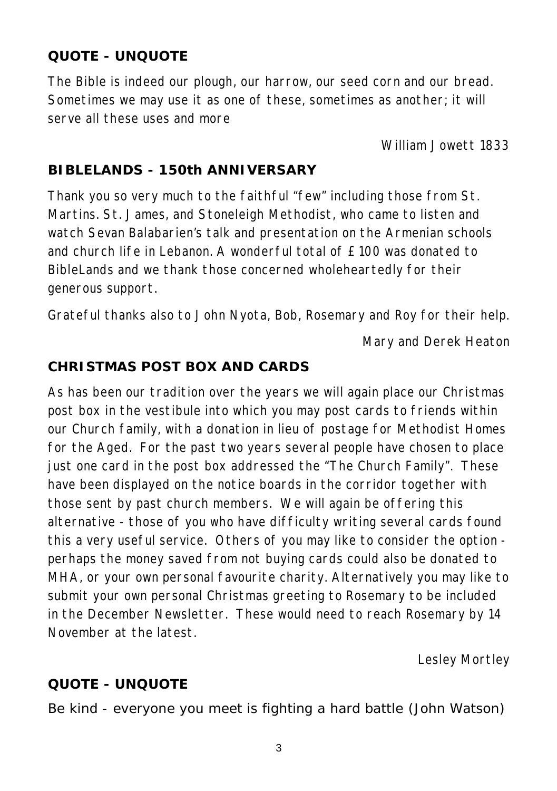## **QUOTE - UNQUOTE**

The Bible is indeed our plough, our harrow, our seed corn and our bread. Sometimes we may use it as one of these, sometimes as another; it will serve all these uses and more

*William Jowett 1833*

## **BIBLELANDS - 150th ANNIVERSARY**

Thank you so very much to the faithful "few" including those from St. Martins. St. James, and Stoneleigh Methodist, who came to listen and watch Sevan Balabarien's talk and presentation on the Armenian schools and church life in Lebanon. A wonderful total of £100 was donated to BibleLands and we thank those concerned wholeheartedly for their generous support.

Grateful thanks also to John Nyota, Bob, Rosemary and Roy for their help.

*Mary and Derek Heaton*

## **CHRISTMAS POST BOX AND CARDS**

As has been our tradition over the years we will again place our Christmas post box in the vestibule into which you may post cards to friends within our Church family, with a donation in lieu of postage for Methodist Homes for the Aged. For the past two years several people have chosen to place just one card in the post box addressed the "The Church Family". These have been displayed on the notice boards in the corridor together with those sent by past church members. We will again be offering this alternative - those of you who have difficulty writing several cards found this a very useful service. Others of you may like to consider the option perhaps the money saved from not buying cards could also be donated to MHA, or your own personal favourite charity. Alternatively you may like to submit your own personal Christmas greeting to Rosemary to be included in the December Newsletter. These would need to reach Rosemary by 14 November at the latest.

*Lesley Mortley*

# **QUOTE - UNQUOTE**

Be kind - everyone you meet is fighting a hard battle *(John Watson)*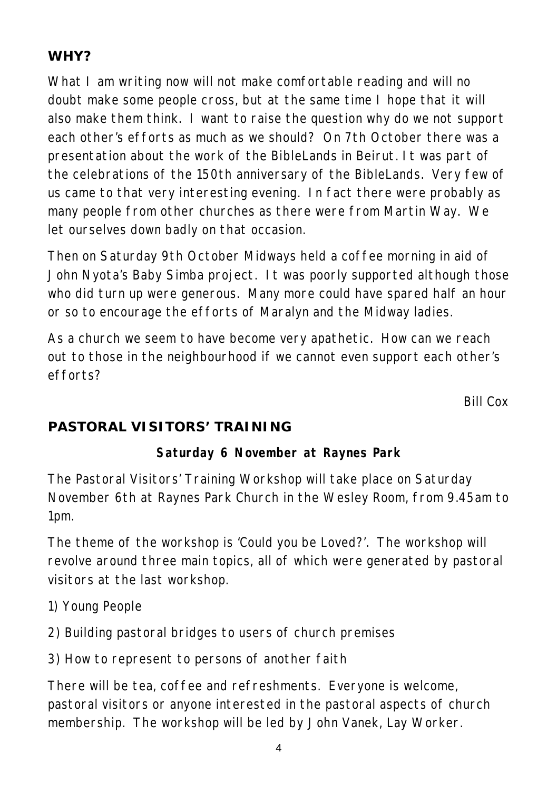# **WHY?**

What I am writing now will not make comfortable reading and will no doubt make some people cross, but at the same time I hope that it will also make them think. I want to raise the question why do we not support each other's efforts as much as we should? On 7th October there was a presentation about the work of the BibleLands in Beirut. It was part of the celebrations of the 150th anniversary of the BibleLands. Very few of us came to that very interesting evening. In fact there were probably as many people from other churches as there were from Martin Way. We let ourselves down badly on that occasion.

Then on Saturday 9th October Midways held a coffee morning in aid of John Nyota's Baby Simba project. It was poorly supported although those who did turn up were generous. Many more could have spared half an hour or so to encourage the efforts of Maralyn and the Midway ladies.

As a church we seem to have become very apathetic. How can we reach out to those in the neighbourhood if we cannot even support each other's efforts?

*Bill Cox*

# **PASTORAL VISITORS' TRAINING**

## **Saturday 6 November at Raynes Park**

The Pastoral Visitors' Training Workshop will take place on Saturday November 6th at Raynes Park Church in the Wesley Room, from 9.45am to 1pm.

The theme of the workshop is 'Could you be Loved?'. The workshop will revolve around three main topics, all of which were generated by pastoral visitors at the last workshop.

- 1) Young People
- 2) Building pastoral bridges to users of church premises
- 3) How to represent to persons of another faith

There will be tea, coffee and refreshments. Everyone is welcome, pastoral visitors or anyone interested in the pastoral aspects of church membership. The workshop will be led by John Vanek, Lay Worker.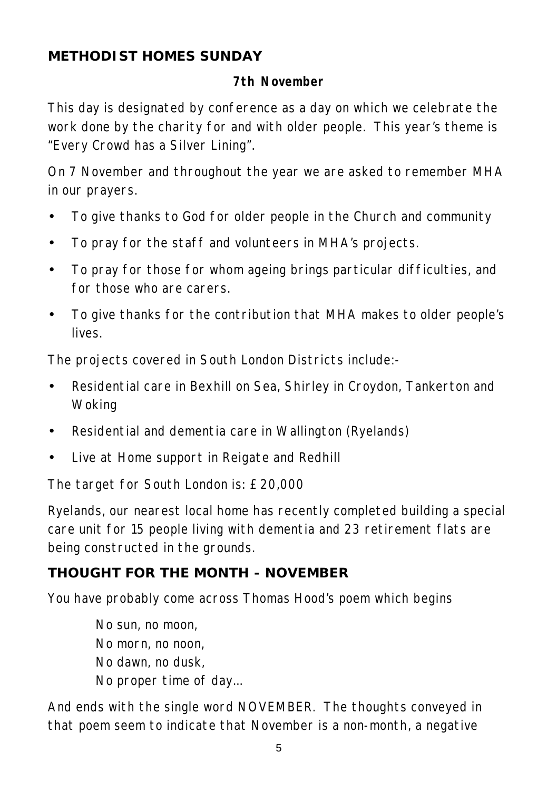## **METHODIST HOMES SUNDAY**

## **7th November**

This day is designated by conference as a day on which we celebrate the work done by the charity for and with older people. This year's theme is "Every Crowd has a Silver Lining".

On 7 November and throughout the year we are asked to remember MHA in our prayers.

- To give thanks to God for older people in the Church and community
- To pray for the staff and volunteers in MHA's projects.
- To pray for those for whom ageing brings particular difficulties, and for those who are carers.
- To give thanks for the contribution that MHA makes to older people's lives.

The projects covered in South London Districts include:-

- Residential care in Bexhill on Sea, Shirley in Croydon, Tankerton and Woking
- Residential and dementia care in Wallington (Ryelands)
- Live at Home support in Reigate and Redhill

The target for South London is: £20,000

Ryelands, our nearest local home has recently completed building a special care unit for 15 people living with dementia and 23 retirement flats are being constructed in the grounds.

# **THOUGHT FOR THE MONTH - NOVEMBER**

You have probably come across Thomas Hood's poem which begins

No sun, no moon, No morn, no noon, No dawn, no dusk, No proper time of day...

And ends with the single word NOVEMBER. The thoughts conveyed in that poem seem to indicate that November is a non-month, a negative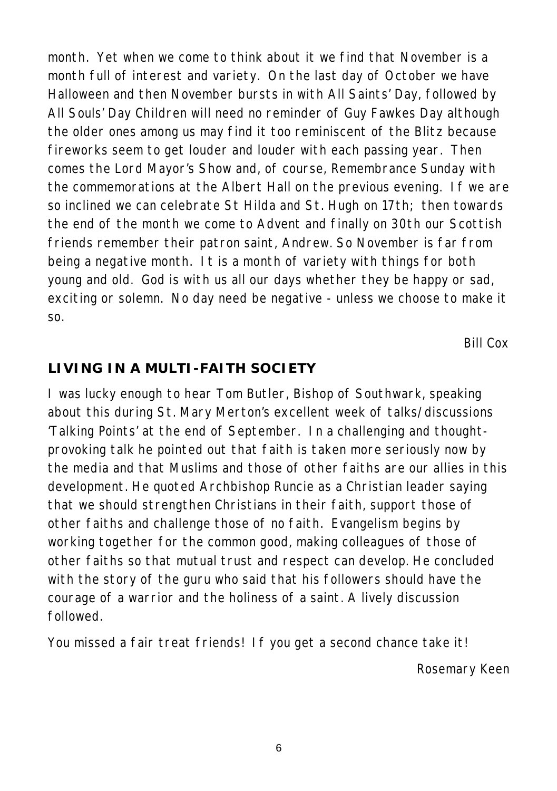month. Yet when we come to think about it we find that November is a month full of interest and variety. On the last day of October we have Halloween and then November bursts in with All Saints' Day, followed by All Souls' Day Children will need no reminder of Guy Fawkes Day although the older ones among us may find it too reminiscent of the Blitz because fireworks seem to get louder and louder with each passing year. Then comes the Lord Mayor's Show and, of course, Remembrance Sunday with the commemorations at the Albert Hall on the previous evening. If we are so inclined we can celebrate St Hilda and St. Hugh on 17th; then towards the end of the month we come to Advent and finally on 30th our Scottish friends remember their patron saint, Andrew. So November is far from being a negative month. It is a month of variety with things for both young and old. God is with us all our days whether they be happy or sad, exciting or solemn. No day need be negative - unless we choose to make it so.

*Bill Cox*

#### **LIVING IN A MULTI-FAITH SOCIETY**

I was lucky enough to hear Tom Butler, Bishop of Southwark, speaking about this during St. Mary Merton's excellent week of talks/discussions 'Talking Points' at the end of September. In a challenging and thoughtprovoking talk he pointed out that faith is taken more seriously now by the media and that Muslims and those of other faiths are our allies in this development. He quoted Archbishop Runcie as a Christian leader saying that we should strengthen Christians in their faith, support those of other faiths and challenge those of no faith. Evangelism begins by working together for the common good, making colleagues of those of other faiths so that mutual trust and respect can develop. He concluded with the story of the guru who said that his followers should have the courage of a warrior and the holiness of a saint. A lively discussion followed.

You missed a fair treat friends! If you get a second chance take it!

*Rosemary Keen*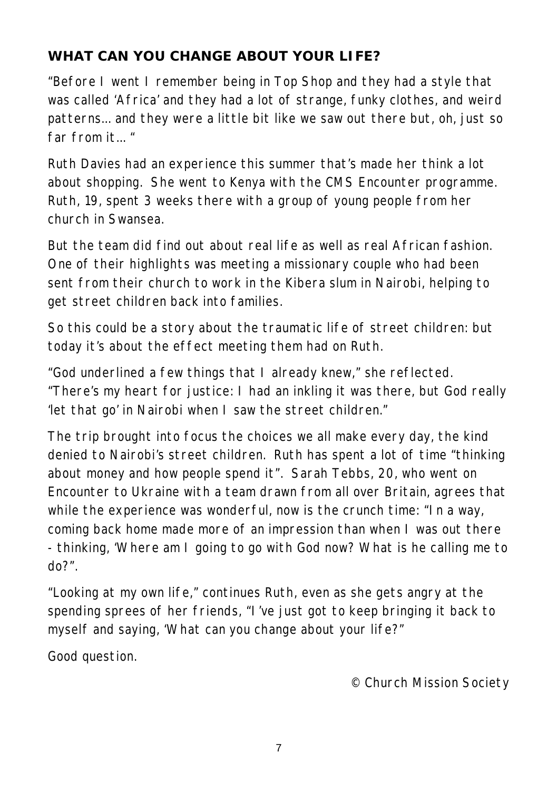# **WHAT CAN YOU CHANGE ABOUT YOUR LIFE?**

"Before I went I remember being in Top Shop and they had a style that was called 'Africa' and they had a lot of strange, funky clothes, and weird patterns... and they were a little bit like we saw out there but, oh, just so far from it..."

Ruth Davies had an experience this summer that's made her think a lot about shopping. She went to Kenya with the CMS Encounter programme. Ruth, 19, spent 3 weeks there with a group of young people from her church in Swansea.

But the team did find out about real life as well as real African fashion. One of their highlights was meeting a missionary couple who had been sent from their church to work in the Kibera slum in Nairobi, helping to get street children back into families.

So this could be a story about the traumatic life of street children: but today it's about the effect meeting them had on Ruth.

"God underlined a few things that I already knew," she reflected. "There's my heart for justice: I had an inkling it was there, but God really 'let that go' in Nairobi when I saw the street children."

The trip brought into focus the choices we all make every day, the kind denied to Nairobi's street children. Ruth has spent a lot of time "thinking about money and how people spend it". Sarah Tebbs, 20, who went on Encounter to Ukraine with a team drawn from all over Britain, agrees that while the experience was wonderful, now is the crunch time: "In a way, coming back home made more of an impression than when I was out there - thinking, 'Where am I going to go with God now? What is he calling me to do?".

"Looking at my own life," continues Ruth, even as she gets angry at the spending sprees of her friends, "I've just got to keep bringing it back to myself and saying, 'What can you change about your life?"

Good question.

*© Church Mission Society*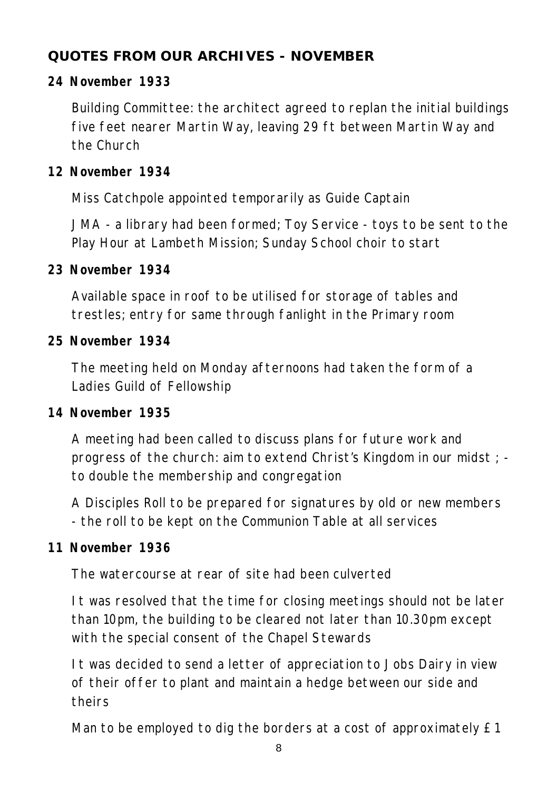# **QUOTES FROM OUR ARCHIVES - NOVEMBER**

## **24 November 1933**

Building Committee: the architect agreed to replan the initial buildings five feet nearer Martin Way, leaving 29 ft between Martin Way and the Church

## **12 November 1934**

Miss Catchpole appointed temporarily as Guide Captain

JMA - a library had been formed; Toy Service - toys to be sent to the Play Hour at Lambeth Mission; Sunday School choir to start

#### **23 November 1934**

Available space in roof to be utilised for storage of tables and trestles; entry for same through fanlight in the Primary room

#### **25 November 1934**

The meeting held on Monday afternoons had taken the form of a Ladies Guild of Fellowship

#### **14 November 1935**

A meeting had been called to discuss plans for future work and progress of the church: aim to extend Christ's Kingdom in our midst ; to double the membership and congregation

A Disciples Roll to be prepared for signatures by old or new members - the roll to be kept on the Communion Table at all services

#### **11 November 1936**

The watercourse at rear of site had been culverted

It was resolved that the time for closing meetings should not be later than 10pm, the building to be cleared not later than 10.30pm except with the special consent of the Chapel Stewards

It was decided to send a letter of appreciation to Jobs Dairy in view of their offer to plant and maintain a hedge between our side and theirs

Man to be employed to dig the borders at a cost of approximately £1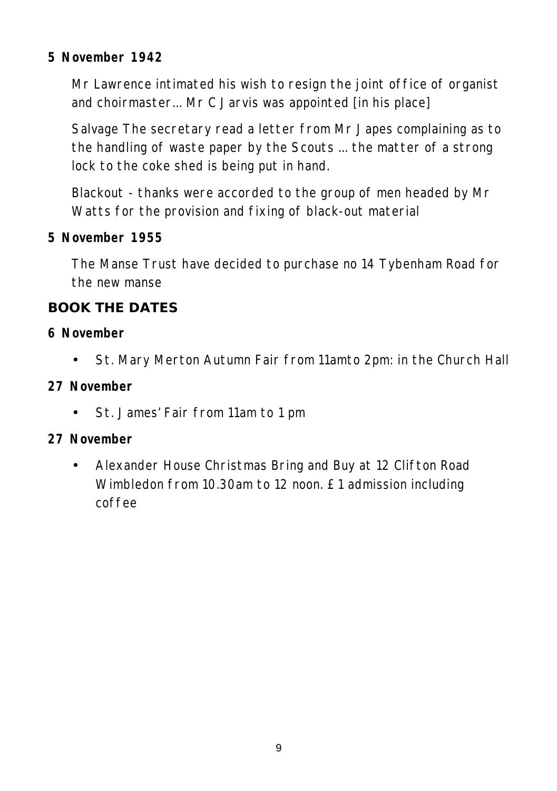## **5 November 1942**

Mr Lawrence intimated his wish to resign the joint office of organist and choirmaster... Mr C Jarvis was appointed [in his place]

Salvage The secretary read a letter from Mr Japes complaining as to the handling of waste paper by the Scouts ... the matter of a strong lock to the coke shed is being put in hand.

Blackout - thanks were accorded to the group of men headed by Mr Watts for the provision and fixing of black-out material

**5 November 1955**

The Manse Trust have decided to purchase no 14 Tybenham Road for the new manse

## **BOOK THE DATES**

- **6 November**
	- St. Mary Merton Autumn Fair from 11amto 2pm: in the Church Hall
- **27 November**
	- St. James' Fair from 11am to 1 pm
- **27 November**
	- Alexander House Christmas Bring and Buy at 12 Clifton Road Wimbledon from 10.30am to 12 noon. £1 admission including coffee